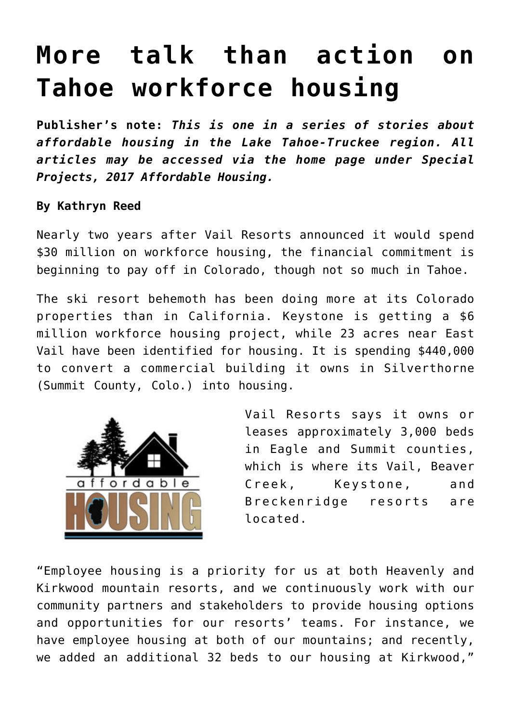## **[More talk than action on](https://www.laketahoenews.net/2017/09/talk-action-tahoe-workforce-housing/) [Tahoe workforce housing](https://www.laketahoenews.net/2017/09/talk-action-tahoe-workforce-housing/)**

**Publisher's note:** *This is one in a series of stories about affordable housing in the Lake Tahoe-Truckee region. All articles may be accessed via the home page under Special Projects, 2017 Affordable Housing.*

## **By Kathryn Reed**

Nearly two years after Vail Resorts announced it would spend \$30 million on workforce housing, the financial commitment is beginning to pay off in Colorado, though not so much in Tahoe.

The ski resort behemoth has been doing more at its Colorado properties than in California. Keystone is getting a \$6 million workforce housing project, while 23 acres near East Vail have been identified for housing. It is spending \$440,000 to convert a commercial building it owns in Silverthorne (Summit County, Colo.) into housing.



Vail Resorts says it owns or leases approximately 3,000 beds in Eagle and Summit counties, which is where its Vail, Beaver Creek, Keystone, and Breckenridge resorts are located.

"Employee housing is a priority for us at both Heavenly and Kirkwood mountain resorts, and we continuously work with our community partners and stakeholders to provide housing options and opportunities for our resorts' teams. For instance, we have employee housing at both of our mountains; and recently, we added an additional 32 beds to our housing at Kirkwood,"